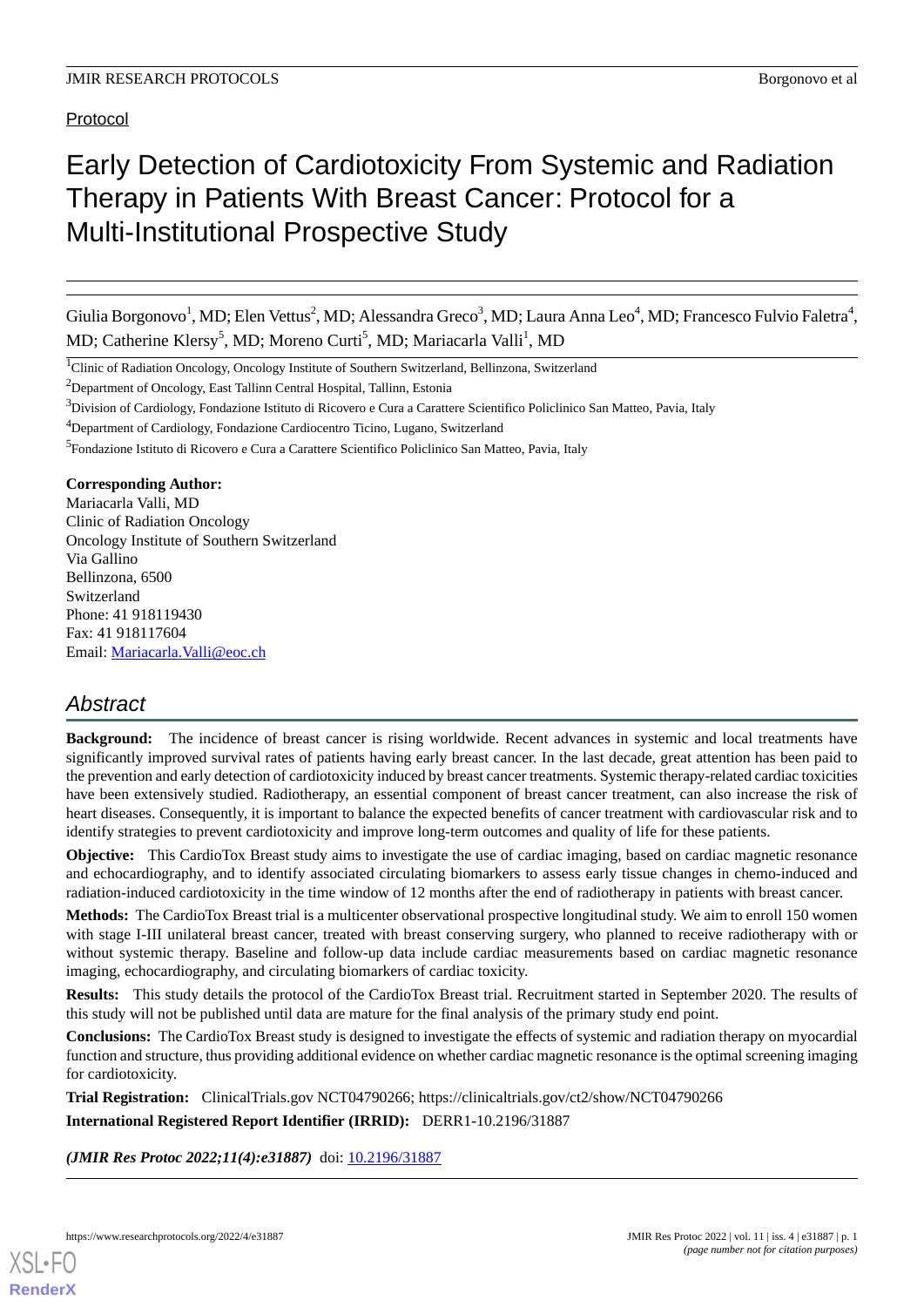Protocol

# Early Detection of Cardiotoxicity From Systemic and Radiation Therapy in Patients With Breast Cancer: Protocol for a Multi-Institutional Prospective Study

Giulia Borgonovo<sup>1</sup>, MD; Elen Vettus<sup>2</sup>, MD; Alessandra Greco<sup>3</sup>, MD; Laura Anna Leo<sup>4</sup>, MD; Francesco Fulvio Faletra<sup>4</sup>, MD; Catherine Klersy<sup>5</sup>, MD; Moreno Curti<sup>5</sup>, MD; Mariacarla Valli<sup>1</sup>, MD

<sup>1</sup>Clinic of Radiation Oncology, Oncology Institute of Southern Switzerland, Bellinzona, Switzerland

<sup>2</sup>Department of Oncology, East Tallinn Central Hospital, Tallinn, Estonia

<sup>3</sup>Division of Cardiology, Fondazione Istituto di Ricovero e Cura a Carattere Scientifico Policlinico San Matteo, Pavia, Italy

<sup>4</sup>Department of Cardiology, Fondazione Cardiocentro Ticino, Lugano, Switzerland

#### **Corresponding Author:**

Mariacarla Valli, MD Clinic of Radiation Oncology Oncology Institute of Southern Switzerland Via Gallino Bellinzona, 6500 Switzerland Phone: 41 918119430 Fax: 41 918117604 Email: [Mariacarla.Valli@eoc.ch](mailto:Mariacarla.Valli@eoc.ch)

# *Abstract*

**Background:** The incidence of breast cancer is rising worldwide. Recent advances in systemic and local treatments have significantly improved survival rates of patients having early breast cancer. In the last decade, great attention has been paid to the prevention and early detection of cardiotoxicity induced by breast cancer treatments. Systemic therapy-related cardiac toxicities have been extensively studied. Radiotherapy, an essential component of breast cancer treatment, can also increase the risk of heart diseases. Consequently, it is important to balance the expected benefits of cancer treatment with cardiovascular risk and to identify strategies to prevent cardiotoxicity and improve long-term outcomes and quality of life for these patients.

**Objective:** This CardioTox Breast study aims to investigate the use of cardiac imaging, based on cardiac magnetic resonance and echocardiography, and to identify associated circulating biomarkers to assess early tissue changes in chemo-induced and radiation-induced cardiotoxicity in the time window of 12 months after the end of radiotherapy in patients with breast cancer.

**Methods:** The CardioTox Breast trial is a multicenter observational prospective longitudinal study. We aim to enroll 150 women with stage I-III unilateral breast cancer, treated with breast conserving surgery, who planned to receive radiotherapy with or without systemic therapy. Baseline and follow-up data include cardiac measurements based on cardiac magnetic resonance imaging, echocardiography, and circulating biomarkers of cardiac toxicity.

**Results:** This study details the protocol of the CardioTox Breast trial. Recruitment started in September 2020. The results of this study will not be published until data are mature for the final analysis of the primary study end point.

**Conclusions:** The CardioTox Breast study is designed to investigate the effects of systemic and radiation therapy on myocardial function and structure, thus providing additional evidence on whether cardiac magnetic resonance is the optimal screening imaging for cardiotoxicity.

**Trial Registration:** ClinicalTrials.gov NCT04790266; https://clinicaltrials.gov/ct2/show/NCT04790266 **International Registered Report Identifier (IRRID):** DERR1-10.2196/31887

*(JMIR Res Protoc 2022;11(4):e31887)* doi: [10.2196/31887](http://dx.doi.org/10.2196/31887)

<sup>&</sup>lt;sup>5</sup> Fondazione Istituto di Ricovero e Cura a Carattere Scientifico Policlinico San Matteo, Pavia, Italy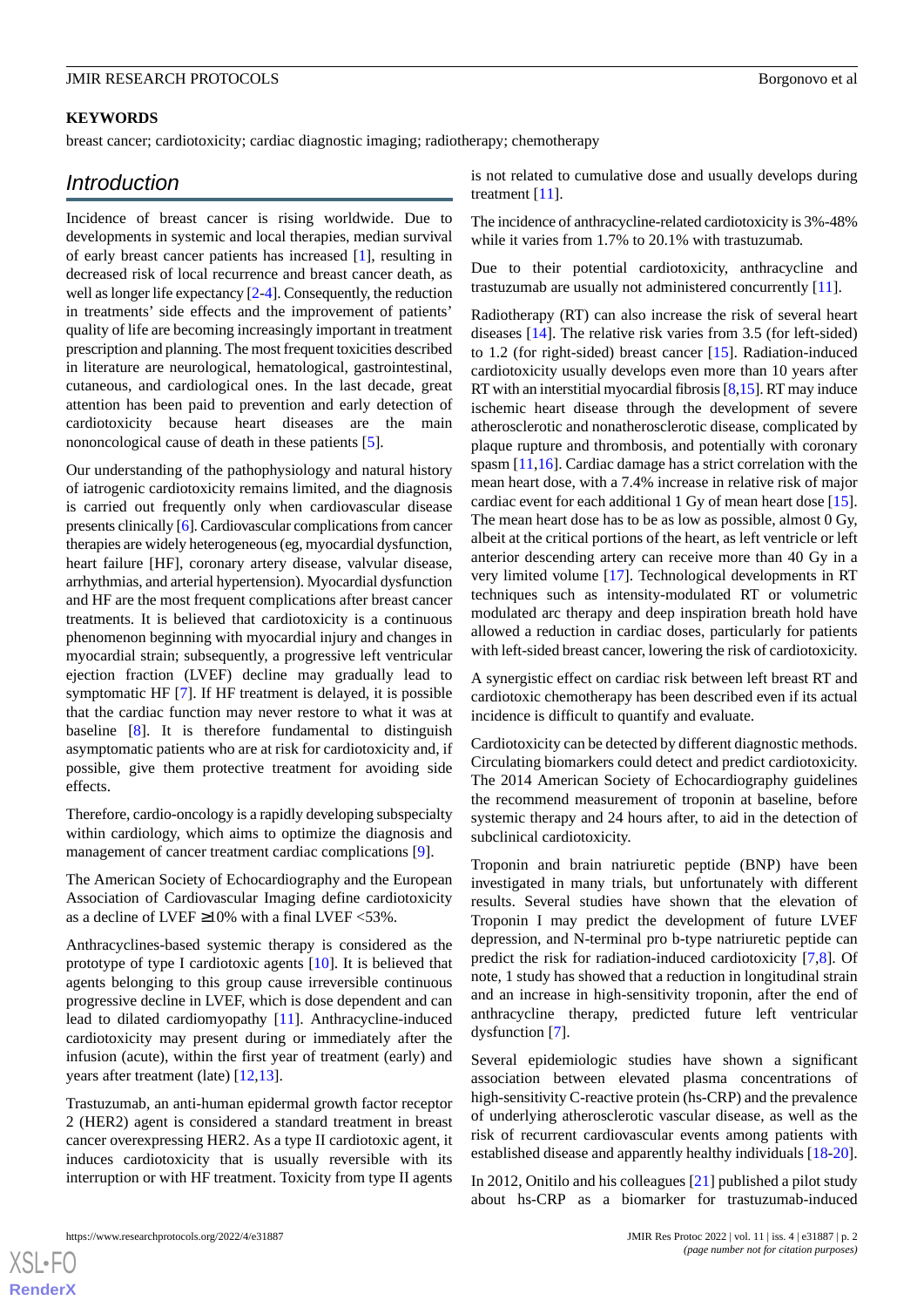#### **KEYWORDS**

breast cancer; cardiotoxicity; cardiac diagnostic imaging; radiotherapy; chemotherapy

# *Introduction*

Incidence of breast cancer is rising worldwide. Due to developments in systemic and local therapies, median survival of early breast cancer patients has increased [[1\]](#page-6-0), resulting in decreased risk of local recurrence and breast cancer death, as well as longer life expectancy [\[2](#page-6-1)[-4](#page-6-2)]. Consequently, the reduction in treatments' side effects and the improvement of patients' quality of life are becoming increasingly important in treatment prescription and planning. The most frequent toxicities described in literature are neurological, hematological, gastrointestinal, cutaneous, and cardiological ones. In the last decade, great attention has been paid to prevention and early detection of cardiotoxicity because heart diseases are the main nononcological cause of death in these patients [[5\]](#page-6-3).

Our understanding of the pathophysiology and natural history of iatrogenic cardiotoxicity remains limited, and the diagnosis is carried out frequently only when cardiovascular disease presents clinically [\[6\]](#page-6-4). Cardiovascular complications from cancer therapies are widely heterogeneous (eg, myocardial dysfunction, heart failure [HF], coronary artery disease, valvular disease, arrhythmias, and arterial hypertension). Myocardial dysfunction and HF are the most frequent complications after breast cancer treatments. It is believed that cardiotoxicity is a continuous phenomenon beginning with myocardial injury and changes in myocardial strain; subsequently, a progressive left ventricular ejection fraction (LVEF) decline may gradually lead to symptomatic HF [[7\]](#page-6-5). If HF treatment is delayed, it is possible that the cardiac function may never restore to what it was at baseline [[8\]](#page-6-6). It is therefore fundamental to distinguish asymptomatic patients who are at risk for cardiotoxicity and, if possible, give them protective treatment for avoiding side effects.

Therefore, cardio-oncology is a rapidly developing subspecialty within cardiology, which aims to optimize the diagnosis and management of cancer treatment cardiac complications [\[9](#page-6-7)].

The American Society of Echocardiography and the European Association of Cardiovascular Imaging define cardiotoxicity as a decline of LVEF  $\geq$ 10% with a final LVEF <53%.

Anthracyclines-based systemic therapy is considered as the prototype of type I cardiotoxic agents [\[10](#page-6-8)]. It is believed that agents belonging to this group cause irreversible continuous progressive decline in LVEF, which is dose dependent and can lead to dilated cardiomyopathy [[11\]](#page-6-9). Anthracycline-induced cardiotoxicity may present during or immediately after the infusion (acute), within the first year of treatment (early) and years after treatment (late) [\[12](#page-6-10),[13\]](#page-6-11).

Trastuzumab, an anti-human epidermal growth factor receptor 2 (HER2) agent is considered a standard treatment in breast cancer overexpressing HER2. As a type II cardiotoxic agent, it induces cardiotoxicity that is usually reversible with its interruption or with HF treatment. Toxicity from type II agents

is not related to cumulative dose and usually develops during treatment [\[11](#page-6-9)].

The incidence of anthracycline-related cardiotoxicity is 3%-48% while it varies from 1.7% to 20.1% with trastuzumab.

Due to their potential cardiotoxicity, anthracycline and trastuzumab are usually not administered concurrently [[11\]](#page-6-9).

Radiotherapy (RT) can also increase the risk of several heart diseases [[14\]](#page-6-12). The relative risk varies from 3.5 (for left-sided) to 1.2 (for right-sided) breast cancer [[15\]](#page-6-13). Radiation-induced cardiotoxicity usually develops even more than 10 years after RT with an interstitial myocardial fibrosis [\[8](#page-6-6),[15](#page-6-13)]. RT may induce ischemic heart disease through the development of severe atherosclerotic and nonatherosclerotic disease, complicated by plaque rupture and thrombosis, and potentially with coronary spasm [\[11](#page-6-9),[16\]](#page-6-14). Cardiac damage has a strict correlation with the mean heart dose, with a 7.4% increase in relative risk of major cardiac event for each additional 1 Gy of mean heart dose [[15\]](#page-6-13). The mean heart dose has to be as low as possible, almost 0 Gy, albeit at the critical portions of the heart, as left ventricle or left anterior descending artery can receive more than 40 Gy in a very limited volume [\[17](#page-6-15)]. Technological developments in RT techniques such as intensity-modulated RT or volumetric modulated arc therapy and deep inspiration breath hold have allowed a reduction in cardiac doses, particularly for patients with left-sided breast cancer, lowering the risk of cardiotoxicity.

A synergistic effect on cardiac risk between left breast RT and cardiotoxic chemotherapy has been described even if its actual incidence is difficult to quantify and evaluate.

Cardiotoxicity can be detected by different diagnostic methods. Circulating biomarkers could detect and predict cardiotoxicity. The 2014 American Society of Echocardiography guidelines the recommend measurement of troponin at baseline, before systemic therapy and 24 hours after, to aid in the detection of subclinical cardiotoxicity.

Troponin and brain natriuretic peptide (BNP) have been investigated in many trials, but unfortunately with different results. Several studies have shown that the elevation of Troponin I may predict the development of future LVEF depression, and N-terminal pro b-type natriuretic peptide can predict the risk for radiation-induced cardiotoxicity [\[7](#page-6-5),[8\]](#page-6-6). Of note, 1 study has showed that a reduction in longitudinal strain and an increase in high-sensitivity troponin, after the end of anthracycline therapy, predicted future left ventricular dysfunction [[7\]](#page-6-5).

Several epidemiologic studies have shown a significant association between elevated plasma concentrations of high-sensitivity C-reactive protein (hs-CRP) and the prevalence of underlying atherosclerotic vascular disease, as well as the risk of recurrent cardiovascular events among patients with established disease and apparently healthy individuals [[18-](#page-6-16)[20\]](#page-7-0).

In 2012, Onitilo and his colleagues [\[21](#page-7-1)] published a pilot study about hs-CRP as a biomarker for trastuzumab-induced

 $X$ SL•F $O$ **[RenderX](http://www.renderx.com/)**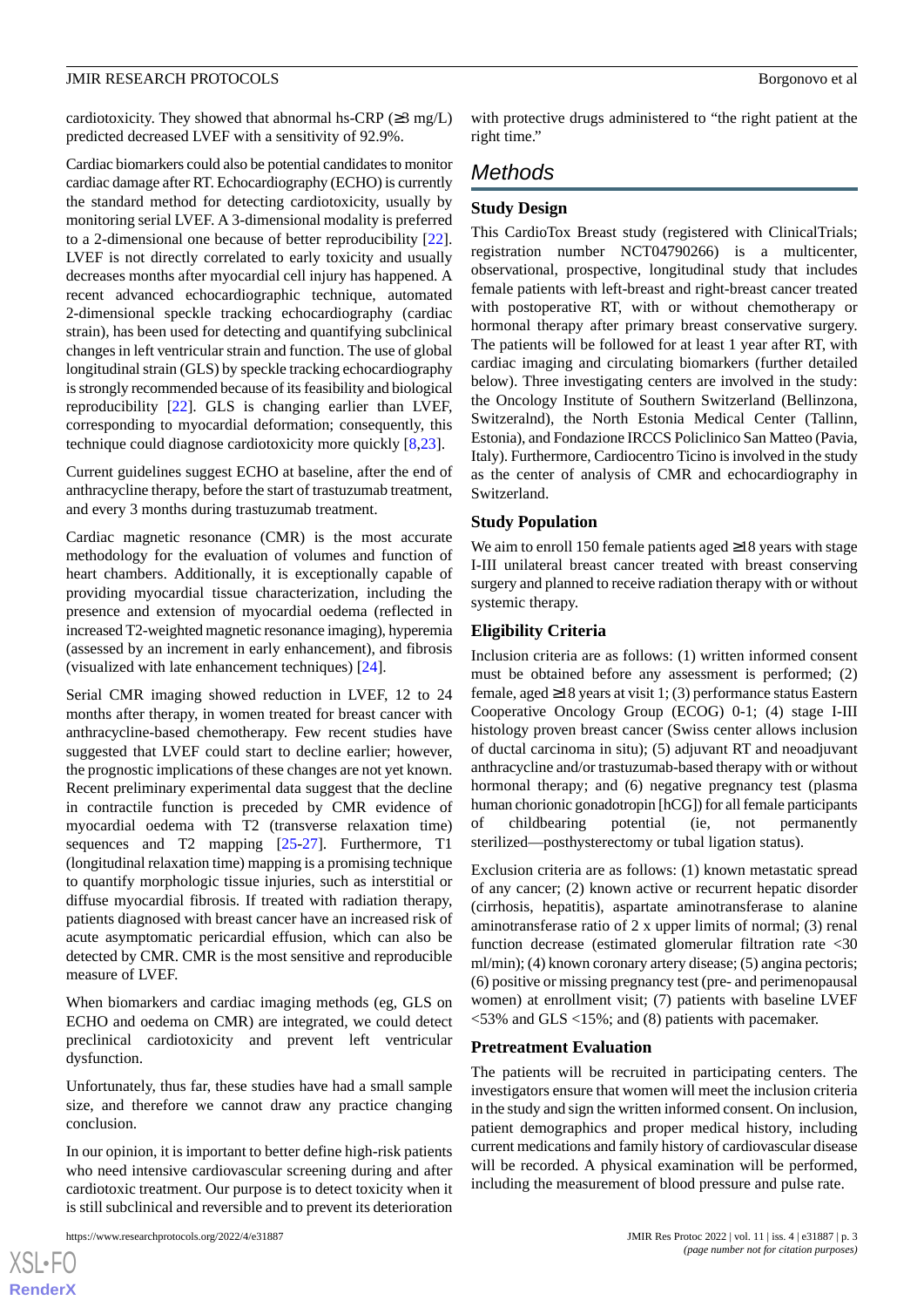cardiotoxicity. They showed that abnormal hs-CRP ( $\geq$ 3 mg/L) predicted decreased LVEF with a sensitivity of 92.9%.

Cardiac biomarkers could also be potential candidates to monitor cardiac damage after RT. Echocardiography (ECHO) is currently the standard method for detecting cardiotoxicity, usually by monitoring serial LVEF. A 3-dimensional modality is preferred to a 2-dimensional one because of better reproducibility [[22\]](#page-7-2). LVEF is not directly correlated to early toxicity and usually decreases months after myocardial cell injury has happened. A recent advanced echocardiographic technique, automated 2-dimensional speckle tracking echocardiography (cardiac strain), has been used for detecting and quantifying subclinical changes in left ventricular strain and function. The use of global longitudinal strain (GLS) by speckle tracking echocardiography is strongly recommended because of its feasibility and biological reproducibility [[22\]](#page-7-2). GLS is changing earlier than LVEF, corresponding to myocardial deformation; consequently, this technique could diagnose cardiotoxicity more quickly [[8,](#page-6-6)[23](#page-7-3)].

Current guidelines suggest ECHO at baseline, after the end of anthracycline therapy, before the start of trastuzumab treatment, and every 3 months during trastuzumab treatment.

Cardiac magnetic resonance (CMR) is the most accurate methodology for the evaluation of volumes and function of heart chambers. Additionally, it is exceptionally capable of providing myocardial tissue characterization, including the presence and extension of myocardial oedema (reflected in increased T2-weighted magnetic resonance imaging), hyperemia (assessed by an increment in early enhancement), and fibrosis (visualized with late enhancement techniques) [\[24](#page-7-4)].

Serial CMR imaging showed reduction in LVEF, 12 to 24 months after therapy, in women treated for breast cancer with anthracycline-based chemotherapy. Few recent studies have suggested that LVEF could start to decline earlier; however, the prognostic implications of these changes are not yet known. Recent preliminary experimental data suggest that the decline in contractile function is preceded by CMR evidence of myocardial oedema with T2 (transverse relaxation time) sequences and T2 mapping [[25-](#page-7-5)[27\]](#page-7-6). Furthermore, T1 (longitudinal relaxation time) mapping is a promising technique to quantify morphologic tissue injuries, such as interstitial or diffuse myocardial fibrosis. If treated with radiation therapy, patients diagnosed with breast cancer have an increased risk of acute asymptomatic pericardial effusion, which can also be detected by CMR. CMR is the most sensitive and reproducible measure of LVEF.

When biomarkers and cardiac imaging methods (eg, GLS on ECHO and oedema on CMR) are integrated, we could detect preclinical cardiotoxicity and prevent left ventricular dysfunction.

Unfortunately, thus far, these studies have had a small sample size, and therefore we cannot draw any practice changing conclusion.

In our opinion, it is important to better define high-risk patients who need intensive cardiovascular screening during and after cardiotoxic treatment. Our purpose is to detect toxicity when it is still subclinical and reversible and to prevent its deterioration

[XSL](http://www.w3.org/Style/XSL)•FO **[RenderX](http://www.renderx.com/)** with protective drugs administered to "the right patient at the right time."

# *Methods*

# **Study Design**

This CardioTox Breast study (registered with ClinicalTrials; registration number NCT04790266) is a multicenter, observational, prospective, longitudinal study that includes female patients with left-breast and right-breast cancer treated with postoperative RT, with or without chemotherapy or hormonal therapy after primary breast conservative surgery. The patients will be followed for at least 1 year after RT, with cardiac imaging and circulating biomarkers (further detailed below). Three investigating centers are involved in the study: the Oncology Institute of Southern Switzerland (Bellinzona, Switzeralnd), the North Estonia Medical Center (Tallinn, Estonia), and Fondazione IRCCS Policlinico San Matteo (Pavia, Italy). Furthermore, Cardiocentro Ticino is involved in the study as the center of analysis of CMR and echocardiography in Switzerland.

# **Study Population**

We aim to enroll 150 female patients aged ≥18 years with stage I-III unilateral breast cancer treated with breast conserving surgery and planned to receive radiation therapy with or without systemic therapy.

# **Eligibility Criteria**

Inclusion criteria are as follows: (1) written informed consent must be obtained before any assessment is performed; (2) female, aged ≥18 years at visit 1; (3) performance status Eastern Cooperative Oncology Group (ECOG) 0-1; (4) stage I-III histology proven breast cancer (Swiss center allows inclusion of ductal carcinoma in situ); (5) adjuvant RT and neoadjuvant anthracycline and/or trastuzumab-based therapy with or without hormonal therapy; and (6) negative pregnancy test (plasma human chorionic gonadotropin [hCG]) for all female participants of childbearing potential (ie, not permanently sterilized—posthysterectomy or tubal ligation status).

Exclusion criteria are as follows: (1) known metastatic spread of any cancer; (2) known active or recurrent hepatic disorder (cirrhosis, hepatitis), aspartate aminotransferase to alanine aminotransferase ratio of 2 x upper limits of normal; (3) renal function decrease (estimated glomerular filtration rate <30 ml/min); (4) known coronary artery disease; (5) angina pectoris; (6) positive or missing pregnancy test (pre- and perimenopausal women) at enrollment visit; (7) patients with baseline LVEF  $\langle$  53% and GLS  $\langle$ 15%; and (8) patients with pacemaker.

#### **Pretreatment Evaluation**

The patients will be recruited in participating centers. The investigators ensure that women will meet the inclusion criteria in the study and sign the written informed consent. On inclusion, patient demographics and proper medical history, including current medications and family history of cardiovascular disease will be recorded. A physical examination will be performed, including the measurement of blood pressure and pulse rate.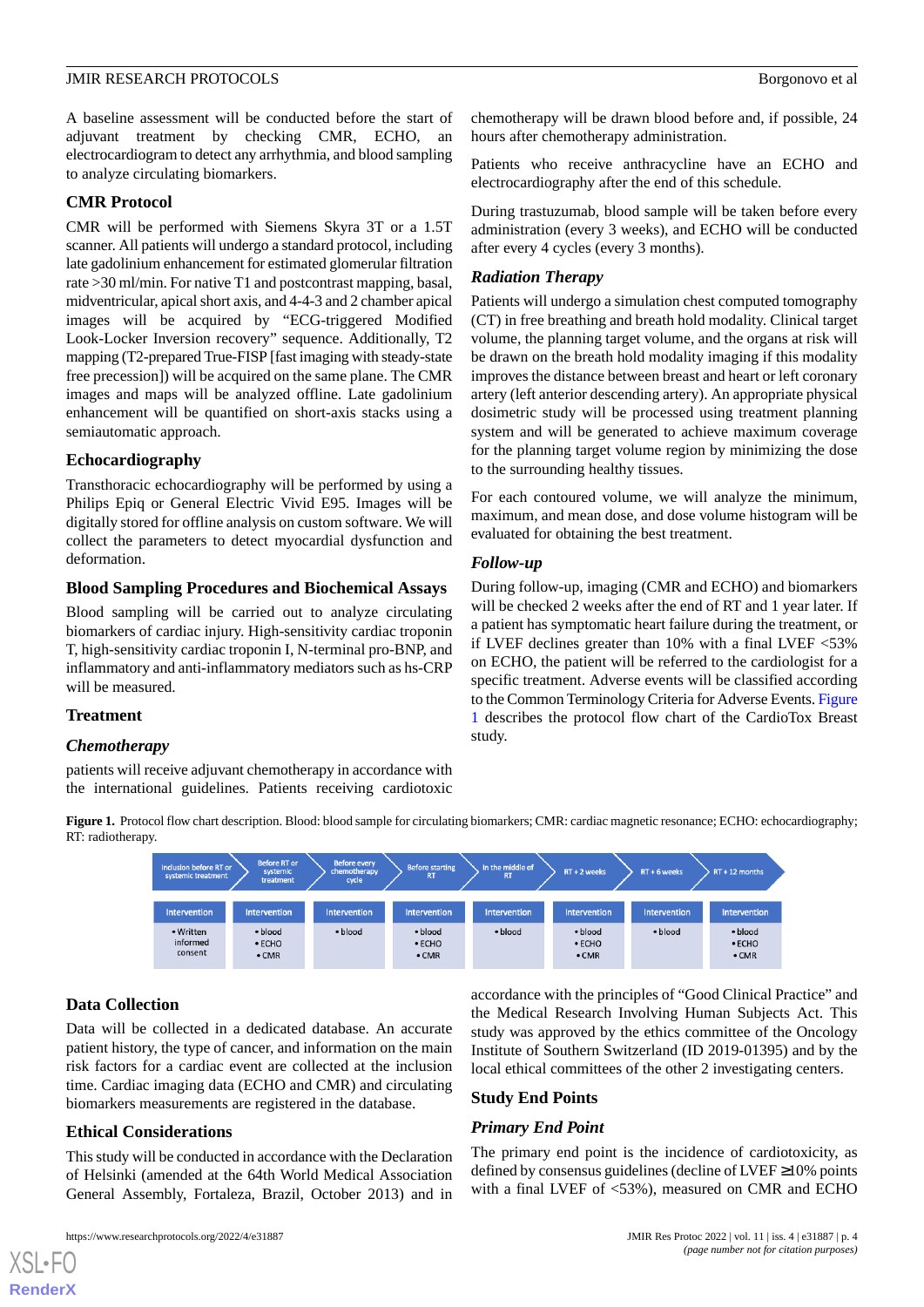A baseline assessment will be conducted before the start of adjuvant treatment by checking CMR, ECHO, an electrocardiogram to detect any arrhythmia, and blood sampling to analyze circulating biomarkers.

#### **CMR Protocol**

CMR will be performed with Siemens Skyra 3T or a 1.5T scanner. All patients will undergo a standard protocol, including late gadolinium enhancement for estimated glomerular filtration rate >30 ml/min. For native T1 and postcontrast mapping, basal, midventricular, apical short axis, and 4-4-3 and 2 chamber apical images will be acquired by "ECG-triggered Modified Look-Locker Inversion recovery" sequence. Additionally, T2 mapping (T2-prepared True-FISP [fast imaging with steady-state free precession]) will be acquired on the same plane. The CMR images and maps will be analyzed offline. Late gadolinium enhancement will be quantified on short-axis stacks using a semiautomatic approach.

#### **Echocardiography**

Transthoracic echocardiography will be performed by using a Philips Epiq or General Electric Vivid E95. Images will be digitally stored for offline analysis on custom software. We will collect the parameters to detect myocardial dysfunction and deformation.

# **Blood Sampling Procedures and Biochemical Assays**

Blood sampling will be carried out to analyze circulating biomarkers of cardiac injury. High-sensitivity cardiac troponin T, high-sensitivity cardiac troponin I, N-terminal pro-BNP, and inflammatory and anti-inflammatory mediators such as hs-CRP will be measured.

# **Treatment**

#### <span id="page-3-0"></span>*Chemotherapy*

patients will receive adjuvant chemotherapy in accordance with the international guidelines. Patients receiving cardiotoxic

chemotherapy will be drawn blood before and, if possible, 24 hours after chemotherapy administration.

Patients who receive anthracycline have an ECHO and electrocardiography after the end of this schedule.

During trastuzumab, blood sample will be taken before every administration (every 3 weeks), and ECHO will be conducted after every 4 cycles (every 3 months).

# *Radiation Therapy*

Patients will undergo a simulation chest computed tomography (CT) in free breathing and breath hold modality. Clinical target volume, the planning target volume, and the organs at risk will be drawn on the breath hold modality imaging if this modality improves the distance between breast and heart or left coronary artery (left anterior descending artery). An appropriate physical dosimetric study will be processed using treatment planning system and will be generated to achieve maximum coverage for the planning target volume region by minimizing the dose to the surrounding healthy tissues.

For each contoured volume, we will analyze the minimum, maximum, and mean dose, and dose volume histogram will be evaluated for obtaining the best treatment.

# *Follow-up*

During follow-up, imaging (CMR and ECHO) and biomarkers will be checked 2 weeks after the end of RT and 1 year later. If a patient has symptomatic heart failure during the treatment, or if LVEF declines greater than 10% with a final LVEF <53% on ECHO, the patient will be referred to the cardiologist for a specific treatment. Adverse events will be classified according to the Common Terminology Criteria for Adverse Events. [Figure](#page-3-0) [1](#page-3-0) describes the protocol flow chart of the CardioTox Breast study.

**Figure 1.** Protocol flow chart description. Blood: blood sample for circulating biomarkers; CMR: cardiac magnetic resonance; ECHO: echocardiography; RT: radiotherapy.



# **Data Collection**

[XSL](http://www.w3.org/Style/XSL)•FO **[RenderX](http://www.renderx.com/)**

Data will be collected in a dedicated database. An accurate patient history, the type of cancer, and information on the main risk factors for a cardiac event are collected at the inclusion time. Cardiac imaging data (ECHO and CMR) and circulating biomarkers measurements are registered in the database.

# **Ethical Considerations**

This study will be conducted in accordance with the Declaration of Helsinki (amended at the 64th World Medical Association General Assembly, Fortaleza, Brazil, October 2013) and in

accordance with the principles of "Good Clinical Practice" and the Medical Research Involving Human Subjects Act. This study was approved by the ethics committee of the Oncology Institute of Southern Switzerland (ID 2019-01395) and by the local ethical committees of the other 2 investigating centers.

#### **Study End Points**

# *Primary End Point*

The primary end point is the incidence of cardiotoxicity, as defined by consensus guidelines (decline of LVEF ≥10% points with a final LVEF of <53%), measured on CMR and ECHO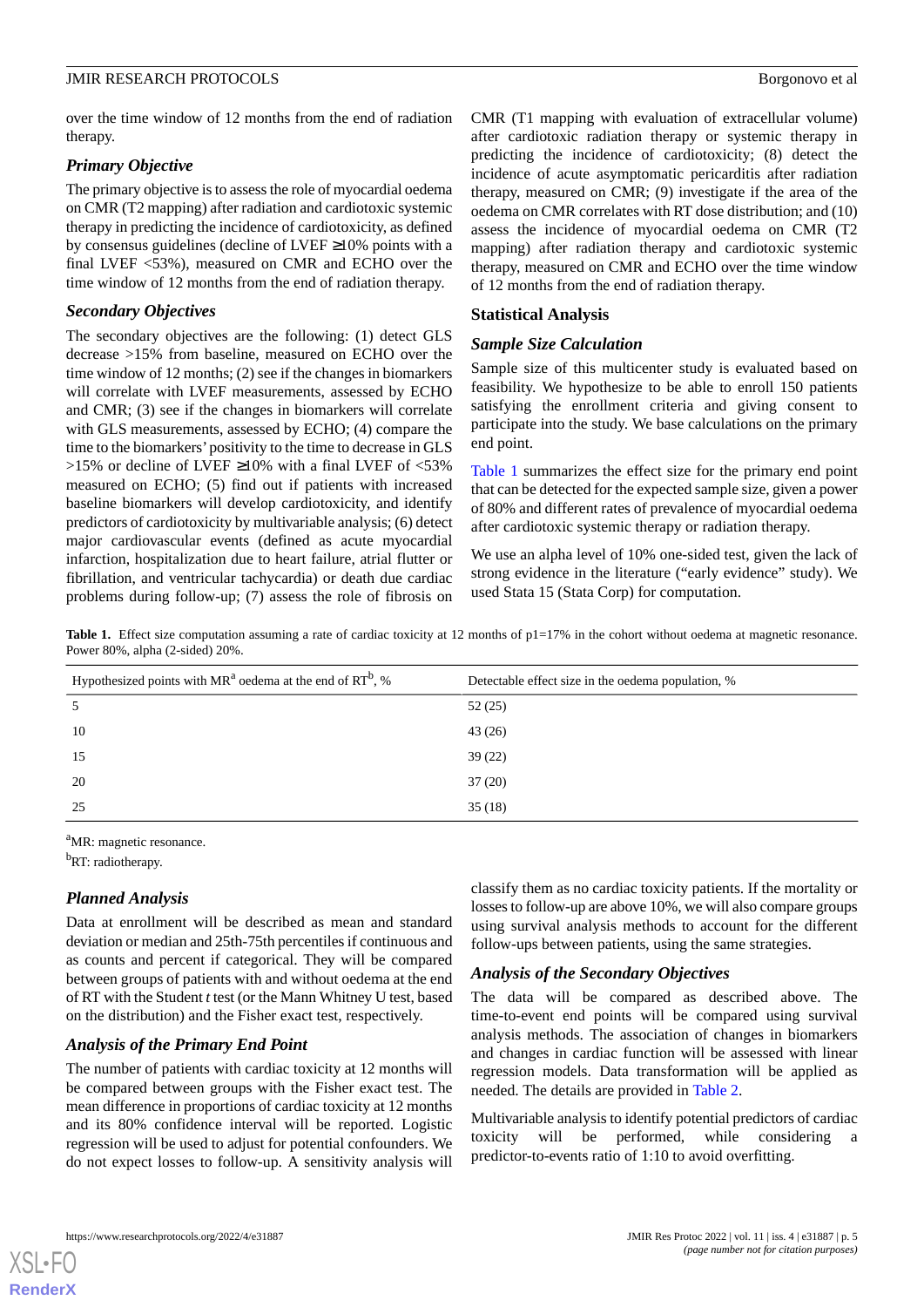over the time window of 12 months from the end of radiation therapy.

# *Primary Objective*

The primary objective is to assess the role of myocardial oedema on CMR (T2 mapping) after radiation and cardiotoxic systemic therapy in predicting the incidence of cardiotoxicity, as defined by consensus guidelines (decline of LVEF ≥10% points with a final LVEF <53%), measured on CMR and ECHO over the time window of 12 months from the end of radiation therapy.

# *Secondary Objectives*

The secondary objectives are the following: (1) detect GLS decrease >15% from baseline, measured on ECHO over the time window of 12 months; (2) see if the changes in biomarkers will correlate with LVEF measurements, assessed by ECHO and CMR; (3) see if the changes in biomarkers will correlate with GLS measurements, assessed by ECHO; (4) compare the time to the biomarkers'positivity to the time to decrease in GLS >15% or decline of LVEF ≥10% with a final LVEF of <53% measured on ECHO; (5) find out if patients with increased baseline biomarkers will develop cardiotoxicity, and identify predictors of cardiotoxicity by multivariable analysis; (6) detect major cardiovascular events (defined as acute myocardial infarction, hospitalization due to heart failure, atrial flutter or fibrillation, and ventricular tachycardia) or death due cardiac problems during follow-up; (7) assess the role of fibrosis on

CMR (T1 mapping with evaluation of extracellular volume) after cardiotoxic radiation therapy or systemic therapy in predicting the incidence of cardiotoxicity; (8) detect the incidence of acute asymptomatic pericarditis after radiation therapy, measured on CMR; (9) investigate if the area of the oedema on CMR correlates with RT dose distribution; and (10) assess the incidence of myocardial oedema on CMR (T2 mapping) after radiation therapy and cardiotoxic systemic therapy, measured on CMR and ECHO over the time window of 12 months from the end of radiation therapy.

# **Statistical Analysis**

# *Sample Size Calculation*

Sample size of this multicenter study is evaluated based on feasibility. We hypothesize to be able to enroll 150 patients satisfying the enrollment criteria and giving consent to participate into the study. We base calculations on the primary end point.

[Table 1](#page-4-0) summarizes the effect size for the primary end point that can be detected for the expected sample size, given a power of 80% and different rates of prevalence of myocardial oedema after cardiotoxic systemic therapy or radiation therapy.

We use an alpha level of 10% one-sided test, given the lack of strong evidence in the literature ("early evidence" study). We used Stata 15 (Stata Corp) for computation.

<span id="page-4-0"></span>Table 1. Effect size computation assuming a rate of cardiac toxicity at 12 months of p1=17% in the cohort without oedema at magnetic resonance. Power 80%, alpha (2-sided) 20%.

| Hypothesized points with $MR^a$ oedema at the end of $RT^b$ , % | Detectable effect size in the oedema population, % |
|-----------------------------------------------------------------|----------------------------------------------------|
| 5                                                               | 52(25)                                             |
| 10                                                              | 43(26)                                             |
| 15                                                              | 39(22)                                             |
| 20                                                              | 37(20)                                             |
| 25                                                              | 35(18)                                             |

<sup>a</sup>MR: magnetic resonance.

<sup>b</sup>RT: radiotherapy.

# *Planned Analysis*

Data at enrollment will be described as mean and standard deviation or median and 25th-75th percentiles if continuous and as counts and percent if categorical. They will be compared between groups of patients with and without oedema at the end of RT with the Student *t*test (or the Mann Whitney U test, based on the distribution) and the Fisher exact test, respectively.

# *Analysis of the Primary End Point*

The number of patients with cardiac toxicity at 12 months will be compared between groups with the Fisher exact test. The mean difference in proportions of cardiac toxicity at 12 months and its 80% confidence interval will be reported. Logistic regression will be used to adjust for potential confounders. We do not expect losses to follow-up. A sensitivity analysis will

classify them as no cardiac toxicity patients. If the mortality or losses to follow-up are above 10%, we will also compare groups using survival analysis methods to account for the different follow-ups between patients, using the same strategies.

# *Analysis of the Secondary Objectives*

The data will be compared as described above. The time-to-event end points will be compared using survival analysis methods. The association of changes in biomarkers and changes in cardiac function will be assessed with linear regression models. Data transformation will be applied as needed. The details are provided in [Table 2.](#page-5-0)

Multivariable analysis to identify potential predictors of cardiac toxicity will be performed, while considering a predictor-to-events ratio of 1:10 to avoid overfitting.

[XSL](http://www.w3.org/Style/XSL)•FO **[RenderX](http://www.renderx.com/)**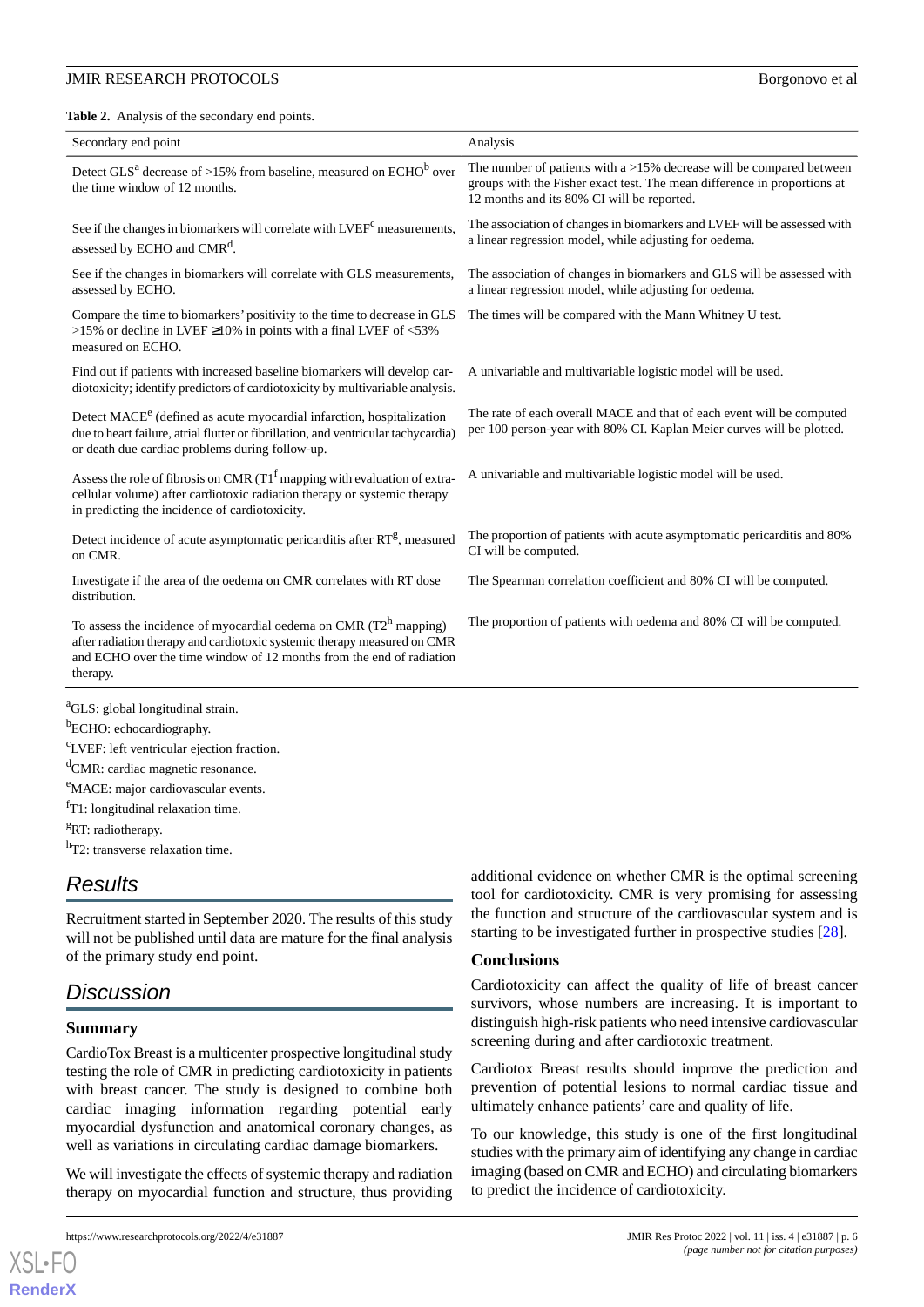#### **JMIR RESEARCH PROTOCOLS Borgonovo et al. Borgonovo et al. Borgonovo et al. Borgonovo et al.**

<span id="page-5-0"></span>**Table 2.** Analysis of the secondary end points.

| Secondary end point                                                                                                                                                                                                                   | Analysis                                                                                                                                                                                          |
|---------------------------------------------------------------------------------------------------------------------------------------------------------------------------------------------------------------------------------------|---------------------------------------------------------------------------------------------------------------------------------------------------------------------------------------------------|
| Detect GLS <sup>a</sup> decrease of >15% from baseline, measured on ECHO <sup>b</sup> over<br>the time window of 12 months.                                                                                                           | The number of patients with a $>15\%$ decrease will be compared between<br>groups with the Fisher exact test. The mean difference in proportions at<br>12 months and its 80% CI will be reported. |
| See if the changes in biomarkers will correlate with LVEF <sup>c</sup> measurements,<br>assessed by ECHO and CMR <sup>d</sup> .                                                                                                       | The association of changes in biomarkers and LVEF will be assessed with<br>a linear regression model, while adjusting for oedema.                                                                 |
| See if the changes in biomarkers will correlate with GLS measurements,<br>assessed by ECHO.                                                                                                                                           | The association of changes in biomarkers and GLS will be assessed with<br>a linear regression model, while adjusting for oedema.                                                                  |
| Compare the time to biomarkers' positivity to the time to decrease in GLS<br>>15% or decline in LVEF $\geq$ 10% in points with a final LVEF of <53%<br>measured on ECHO.                                                              | The times will be compared with the Mann Whitney U test.                                                                                                                                          |
| Find out if patients with increased baseline biomarkers will develop car-<br>diotoxicity; identify predictors of cardiotoxicity by multivariable analysis.                                                                            | A univariable and multivariable logistic model will be used.                                                                                                                                      |
| Detect MACE <sup>e</sup> (defined as acute myocardial infarction, hospitalization<br>due to heart failure, atrial flutter or fibrillation, and ventricular tachycardia)<br>or death due cardiac problems during follow-up.            | The rate of each overall MACE and that of each event will be computed<br>per 100 person-year with 80% CI. Kaplan Meier curves will be plotted.                                                    |
| Assess the role of fibrosis on CMR ( $T1^f$ mapping with evaluation of extra-<br>cellular volume) after cardiotoxic radiation therapy or systemic therapy<br>in predicting the incidence of cardiotoxicity.                           | A univariable and multivariable logistic model will be used.                                                                                                                                      |
| Detect incidence of acute asymptomatic pericarditis after RT <sup>g</sup> , measured<br>on CMR.                                                                                                                                       | The proportion of patients with acute asymptomatic pericarditis and 80%<br>CI will be computed.                                                                                                   |
| Investigate if the area of the oedema on CMR correlates with RT dose<br>distribution.                                                                                                                                                 | The Spearman correlation coefficient and 80% CI will be computed.                                                                                                                                 |
| To assess the incidence of myocardial oedema on CMR $(T2^h)$ mapping)<br>after radiation therapy and cardiotoxic systemic therapy measured on CMR<br>and ECHO over the time window of 12 months from the end of radiation<br>therapy. | The proportion of patients with oedema and 80% CI will be computed.                                                                                                                               |

<sup>b</sup>ECHO: echocardiography.

<sup>c</sup>LVEF: left ventricular ejection fraction.

<sup>d</sup>CMR: cardiac magnetic resonance.

<sup>e</sup>MACE: major cardiovascular events.

 ${}^{\text{f}}$ T1: longitudinal relaxation time.

<sup>g</sup>RT: radiotherapy.

<sup>h</sup>T2: transverse relaxation time.

# *Results*

Recruitment started in September 2020. The results of this study will not be published until data are mature for the final analysis of the primary study end point.

# *Discussion*

#### **Summary**

[XSL](http://www.w3.org/Style/XSL)•FO **[RenderX](http://www.renderx.com/)**

CardioTox Breast is a multicenter prospective longitudinal study testing the role of CMR in predicting cardiotoxicity in patients with breast cancer. The study is designed to combine both cardiac imaging information regarding potential early myocardial dysfunction and anatomical coronary changes, as well as variations in circulating cardiac damage biomarkers.

We will investigate the effects of systemic therapy and radiation therapy on myocardial function and structure, thus providing additional evidence on whether CMR is the optimal screening tool for cardiotoxicity. CMR is very promising for assessing the function and structure of the cardiovascular system and is starting to be investigated further in prospective studies [\[28](#page-7-7)].

#### **Conclusions**

Cardiotoxicity can affect the quality of life of breast cancer survivors, whose numbers are increasing. It is important to distinguish high-risk patients who need intensive cardiovascular screening during and after cardiotoxic treatment.

Cardiotox Breast results should improve the prediction and prevention of potential lesions to normal cardiac tissue and ultimately enhance patients' care and quality of life.

To our knowledge, this study is one of the first longitudinal studies with the primary aim of identifying any change in cardiac imaging (based on CMR and ECHO) and circulating biomarkers to predict the incidence of cardiotoxicity.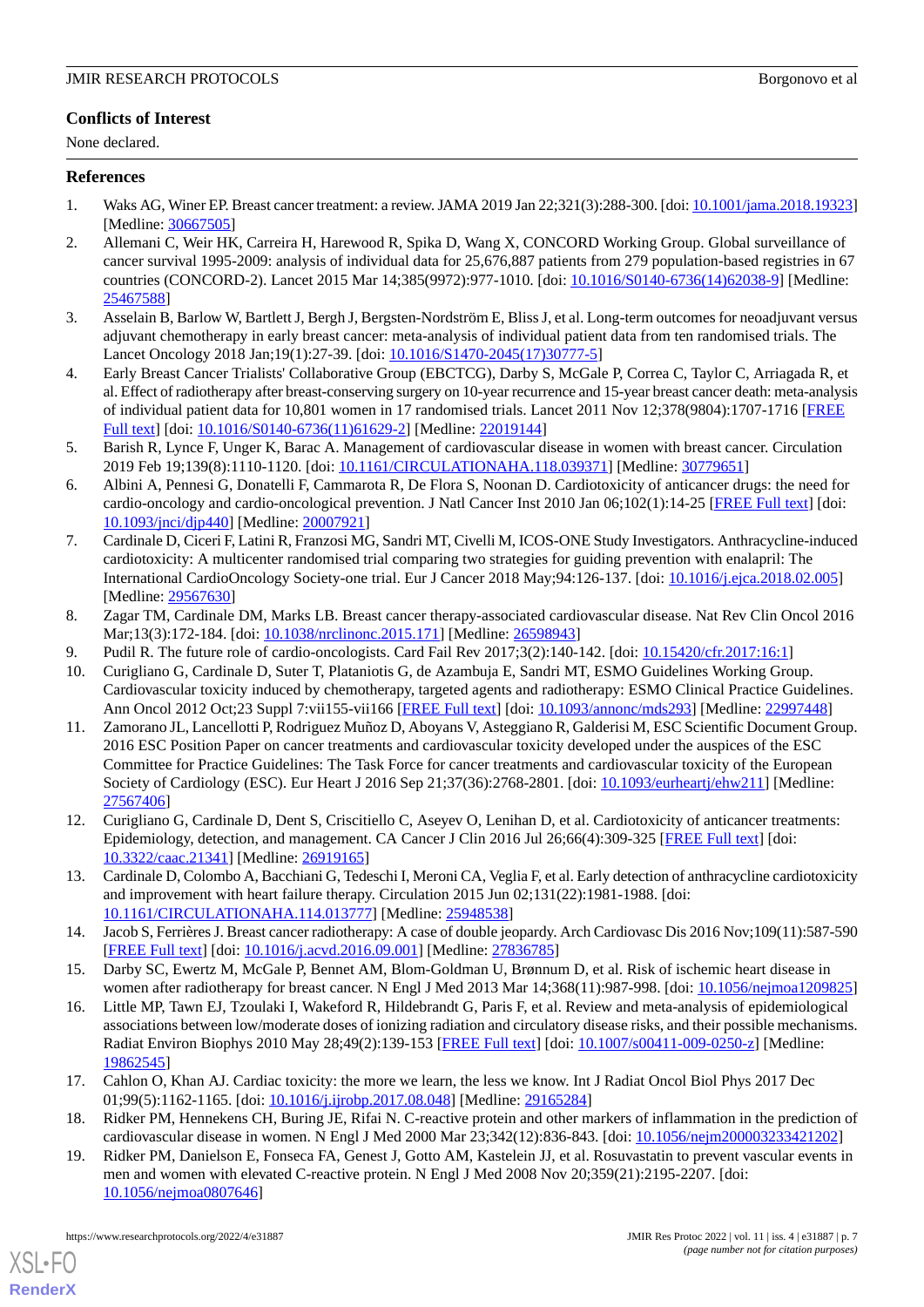# **Conflicts of Interest**

None declared.

# <span id="page-6-0"></span>**References**

- <span id="page-6-1"></span>1. Waks AG, Winer EP. Breast cancer treatment: a review. JAMA 2019 Jan 22;321(3):288-300. [doi: [10.1001/jama.2018.19323\]](http://dx.doi.org/10.1001/jama.2018.19323) [Medline: [30667505](http://www.ncbi.nlm.nih.gov/entrez/query.fcgi?cmd=Retrieve&db=PubMed&list_uids=30667505&dopt=Abstract)]
- 2. Allemani C, Weir HK, Carreira H, Harewood R, Spika D, Wang X, CONCORD Working Group. Global surveillance of cancer survival 1995-2009: analysis of individual data for 25,676,887 patients from 279 population-based registries in 67 countries (CONCORD-2). Lancet 2015 Mar 14;385(9972):977-1010. [doi: [10.1016/S0140-6736\(14\)62038-9](http://dx.doi.org/10.1016/S0140-6736(14)62038-9)] [Medline: [25467588](http://www.ncbi.nlm.nih.gov/entrez/query.fcgi?cmd=Retrieve&db=PubMed&list_uids=25467588&dopt=Abstract)]
- <span id="page-6-2"></span>3. Asselain B, Barlow W, Bartlett J, Bergh J, Bergsten-Nordström E, Bliss J, et al. Long-term outcomes for neoadjuvant versus adjuvant chemotherapy in early breast cancer: meta-analysis of individual patient data from ten randomised trials. The Lancet Oncology 2018 Jan;19(1):27-39. [doi: [10.1016/S1470-2045\(17\)30777-5](http://dx.doi.org/10.1016/S1470-2045(17)30777-5)]
- <span id="page-6-3"></span>4. Early Breast Cancer Trialists' Collaborative Group (EBCTCG), Darby S, McGale P, Correa C, Taylor C, Arriagada R, et al. Effect of radiotherapy after breast-conserving surgery on 10-year recurrence and 15-year breast cancer death: meta-analysis of individual patient data for 10,801 women in 17 randomised trials. Lancet 2011 Nov 12;378(9804):1707-1716 [\[FREE](https://linkinghub.elsevier.com/retrieve/pii/S0140-6736(11)61629-2) [Full text\]](https://linkinghub.elsevier.com/retrieve/pii/S0140-6736(11)61629-2) [doi: [10.1016/S0140-6736\(11\)61629-2](http://dx.doi.org/10.1016/S0140-6736(11)61629-2)] [Medline: [22019144](http://www.ncbi.nlm.nih.gov/entrez/query.fcgi?cmd=Retrieve&db=PubMed&list_uids=22019144&dopt=Abstract)]
- <span id="page-6-4"></span>5. Barish R, Lynce F, Unger K, Barac A. Management of cardiovascular disease in women with breast cancer. Circulation 2019 Feb 19;139(8):1110-1120. [doi: [10.1161/CIRCULATIONAHA.118.039371\]](http://dx.doi.org/10.1161/CIRCULATIONAHA.118.039371) [Medline: [30779651\]](http://www.ncbi.nlm.nih.gov/entrez/query.fcgi?cmd=Retrieve&db=PubMed&list_uids=30779651&dopt=Abstract)
- <span id="page-6-5"></span>6. Albini A, Pennesi G, Donatelli F, Cammarota R, De Flora S, Noonan D. Cardiotoxicity of anticancer drugs: the need for cardio-oncology and cardio-oncological prevention. J Natl Cancer Inst 2010 Jan 06;102(1):14-25 [\[FREE Full text\]](http://europepmc.org/abstract/MED/20007921) [doi: [10.1093/jnci/djp440](http://dx.doi.org/10.1093/jnci/djp440)] [Medline: [20007921](http://www.ncbi.nlm.nih.gov/entrez/query.fcgi?cmd=Retrieve&db=PubMed&list_uids=20007921&dopt=Abstract)]
- <span id="page-6-6"></span>7. Cardinale D, Ciceri F, Latini R, Franzosi MG, Sandri MT, Civelli M, ICOS-ONE Study Investigators. Anthracycline-induced cardiotoxicity: A multicenter randomised trial comparing two strategies for guiding prevention with enalapril: The International CardioOncology Society-one trial. Eur J Cancer 2018 May;94:126-137. [doi: [10.1016/j.ejca.2018.02.005](http://dx.doi.org/10.1016/j.ejca.2018.02.005)] [Medline: [29567630](http://www.ncbi.nlm.nih.gov/entrez/query.fcgi?cmd=Retrieve&db=PubMed&list_uids=29567630&dopt=Abstract)]
- <span id="page-6-8"></span><span id="page-6-7"></span>8. Zagar TM, Cardinale DM, Marks LB. Breast cancer therapy-associated cardiovascular disease. Nat Rev Clin Oncol 2016 Mar;13(3):172-184. [doi: [10.1038/nrclinonc.2015.171](http://dx.doi.org/10.1038/nrclinonc.2015.171)] [Medline: [26598943\]](http://www.ncbi.nlm.nih.gov/entrez/query.fcgi?cmd=Retrieve&db=PubMed&list_uids=26598943&dopt=Abstract)
- <span id="page-6-9"></span>9. Pudil R. The future role of cardio-oncologists. Card Fail Rev 2017;3(2):140-142. [doi: [10.15420/cfr.2017:16:1](http://dx.doi.org/10.15420/cfr.2017:16:1)]
- 10. Curigliano G, Cardinale D, Suter T, Plataniotis G, de Azambuja E, Sandri MT, ESMO Guidelines Working Group. Cardiovascular toxicity induced by chemotherapy, targeted agents and radiotherapy: ESMO Clinical Practice Guidelines. Ann Oncol 2012 Oct;23 Suppl 7:vii155-vii166 [\[FREE Full text\]](https://linkinghub.elsevier.com/retrieve/pii/S0923-7534(19)37674-4) [doi: [10.1093/annonc/mds293\]](http://dx.doi.org/10.1093/annonc/mds293) [Medline: [22997448](http://www.ncbi.nlm.nih.gov/entrez/query.fcgi?cmd=Retrieve&db=PubMed&list_uids=22997448&dopt=Abstract)]
- <span id="page-6-10"></span>11. Zamorano JL, Lancellotti P, Rodriguez Muñoz D, Aboyans V, Asteggiano R, Galderisi M, ESC Scientific Document Group. 2016 ESC Position Paper on cancer treatments and cardiovascular toxicity developed under the auspices of the ESC Committee for Practice Guidelines: The Task Force for cancer treatments and cardiovascular toxicity of the European Society of Cardiology (ESC). Eur Heart J 2016 Sep 21;37(36):2768-2801. [doi: [10.1093/eurheartj/ehw211\]](http://dx.doi.org/10.1093/eurheartj/ehw211) [Medline: [27567406](http://www.ncbi.nlm.nih.gov/entrez/query.fcgi?cmd=Retrieve&db=PubMed&list_uids=27567406&dopt=Abstract)]
- <span id="page-6-12"></span><span id="page-6-11"></span>12. Curigliano G, Cardinale D, Dent S, Criscitiello C, Aseyev O, Lenihan D, et al. Cardiotoxicity of anticancer treatments: Epidemiology, detection, and management. CA Cancer J Clin 2016 Jul 26;66(4):309-325 [[FREE Full text](https://doi.org/10.3322/caac.21341)] [doi: [10.3322/caac.21341](http://dx.doi.org/10.3322/caac.21341)] [Medline: [26919165\]](http://www.ncbi.nlm.nih.gov/entrez/query.fcgi?cmd=Retrieve&db=PubMed&list_uids=26919165&dopt=Abstract)
- <span id="page-6-13"></span>13. Cardinale D, Colombo A, Bacchiani G, Tedeschi I, Meroni CA, Veglia F, et al. Early detection of anthracycline cardiotoxicity and improvement with heart failure therapy. Circulation 2015 Jun 02;131(22):1981-1988. [doi: [10.1161/CIRCULATIONAHA.114.013777\]](http://dx.doi.org/10.1161/CIRCULATIONAHA.114.013777) [Medline: [25948538\]](http://www.ncbi.nlm.nih.gov/entrez/query.fcgi?cmd=Retrieve&db=PubMed&list_uids=25948538&dopt=Abstract)
- <span id="page-6-14"></span>14. Jacob S, Ferrières J. Breast cancer radiotherapy: A case of double jeopardy. Arch Cardiovasc Dis 2016 Nov;109(11):587-590 [[FREE Full text](https://linkinghub.elsevier.com/retrieve/pii/S1875-2136(16)30151-6)] [doi: [10.1016/j.acvd.2016.09.001](http://dx.doi.org/10.1016/j.acvd.2016.09.001)] [Medline: [27836785](http://www.ncbi.nlm.nih.gov/entrez/query.fcgi?cmd=Retrieve&db=PubMed&list_uids=27836785&dopt=Abstract)]
- <span id="page-6-15"></span>15. Darby SC, Ewertz M, McGale P, Bennet AM, Blom-Goldman U, Brønnum D, et al. Risk of ischemic heart disease in women after radiotherapy for breast cancer. N Engl J Med 2013 Mar 14;368(11):987-998. [doi: [10.1056/nejmoa1209825](http://dx.doi.org/10.1056/nejmoa1209825)]
- <span id="page-6-16"></span>16. Little MP, Tawn EJ, Tzoulaki I, Wakeford R, Hildebrandt G, Paris F, et al. Review and meta-analysis of epidemiological associations between low/moderate doses of ionizing radiation and circulatory disease risks, and their possible mechanisms. Radiat Environ Biophys 2010 May 28;49(2):139-153 [[FREE Full text](http://europepmc.org/abstract/MED/19862545)] [doi: [10.1007/s00411-009-0250-z](http://dx.doi.org/10.1007/s00411-009-0250-z)] [Medline: [19862545](http://www.ncbi.nlm.nih.gov/entrez/query.fcgi?cmd=Retrieve&db=PubMed&list_uids=19862545&dopt=Abstract)]
- 17. Cahlon O, Khan AJ. Cardiac toxicity: the more we learn, the less we know. Int J Radiat Oncol Biol Phys 2017 Dec 01;99(5):1162-1165. [doi: [10.1016/j.ijrobp.2017.08.048](http://dx.doi.org/10.1016/j.ijrobp.2017.08.048)] [Medline: [29165284](http://www.ncbi.nlm.nih.gov/entrez/query.fcgi?cmd=Retrieve&db=PubMed&list_uids=29165284&dopt=Abstract)]
- 18. Ridker PM, Hennekens CH, Buring JE, Rifai N. C-reactive protein and other markers of inflammation in the prediction of cardiovascular disease in women. N Engl J Med 2000 Mar 23;342(12):836-843. [doi: [10.1056/nejm200003233421202](http://dx.doi.org/10.1056/nejm200003233421202)]
- 19. Ridker PM, Danielson E, Fonseca FA, Genest J, Gotto AM, Kastelein JJ, et al. Rosuvastatin to prevent vascular events in men and women with elevated C-reactive protein. N Engl J Med 2008 Nov 20;359(21):2195-2207. [doi: [10.1056/nejmoa0807646](http://dx.doi.org/10.1056/nejmoa0807646)]

[XSL](http://www.w3.org/Style/XSL)•FO **[RenderX](http://www.renderx.com/)**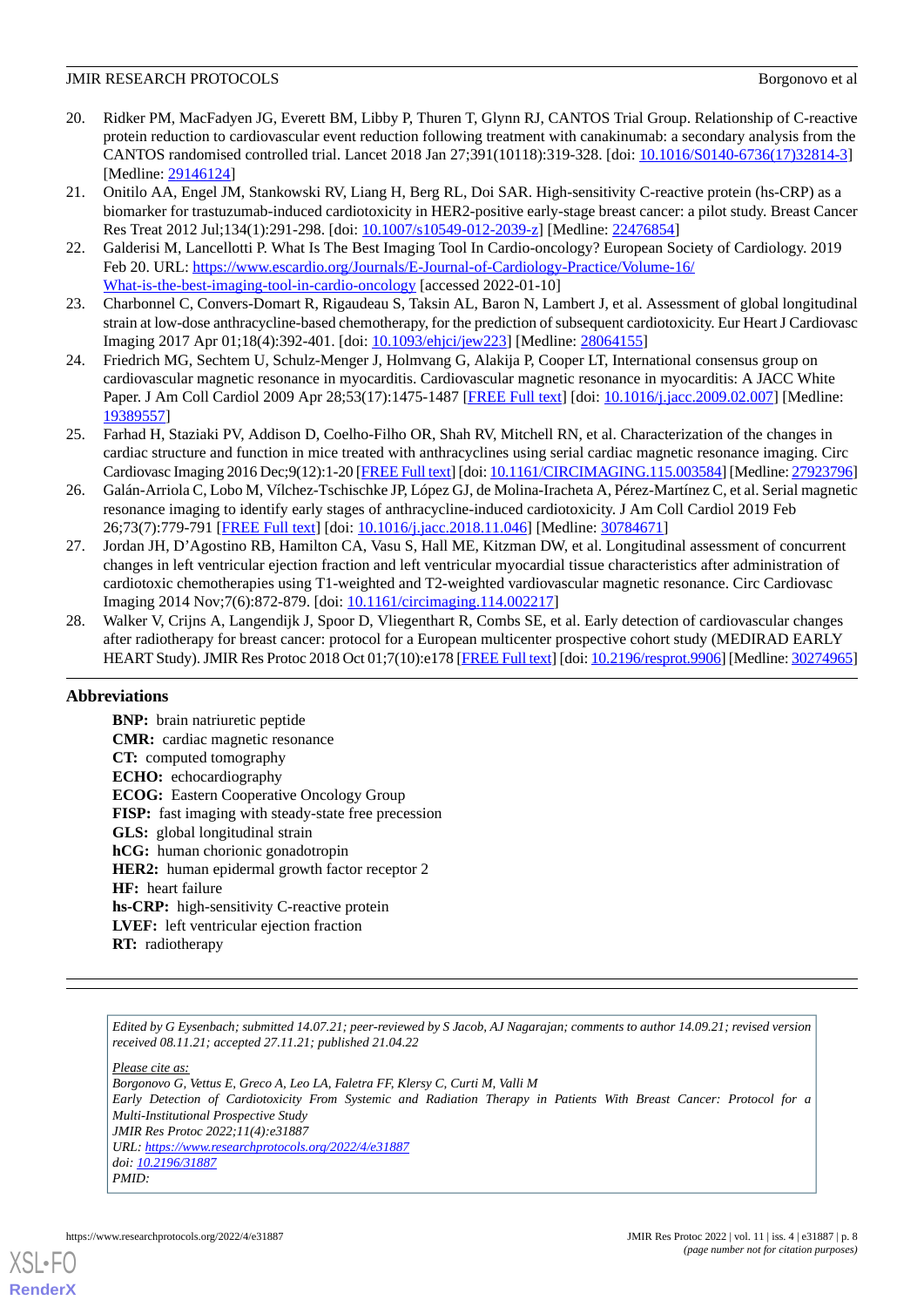- <span id="page-7-0"></span>20. Ridker PM, MacFadyen JG, Everett BM, Libby P, Thuren T, Glynn RJ, CANTOS Trial Group. Relationship of C-reactive protein reduction to cardiovascular event reduction following treatment with canakinumab: a secondary analysis from the CANTOS randomised controlled trial. Lancet 2018 Jan 27;391(10118):319-328. [doi: [10.1016/S0140-6736\(17\)32814-3](http://dx.doi.org/10.1016/S0140-6736(17)32814-3)] [Medline: [29146124](http://www.ncbi.nlm.nih.gov/entrez/query.fcgi?cmd=Retrieve&db=PubMed&list_uids=29146124&dopt=Abstract)]
- <span id="page-7-1"></span>21. Onitilo AA, Engel JM, Stankowski RV, Liang H, Berg RL, Doi SAR. High-sensitivity C-reactive protein (hs-CRP) as a biomarker for trastuzumab-induced cardiotoxicity in HER2-positive early-stage breast cancer: a pilot study. Breast Cancer Res Treat 2012 Jul;134(1):291-298. [doi: [10.1007/s10549-012-2039-z\]](http://dx.doi.org/10.1007/s10549-012-2039-z) [Medline: [22476854\]](http://www.ncbi.nlm.nih.gov/entrez/query.fcgi?cmd=Retrieve&db=PubMed&list_uids=22476854&dopt=Abstract)
- <span id="page-7-2"></span>22. Galderisi M, Lancellotti P. What Is The Best Imaging Tool In Cardio-oncology? European Society of Cardiology. 2019 Feb 20. URL: [https://www.escardio.org/Journals/E-Journal-of-Cardiology-Practice/Volume-16/](https://www.escardio.org/Journals/E-Journal-of-Cardiology-Practice/Volume-16/What-is-the-best-imaging-tool-in-cardio-oncology) [What-is-the-best-imaging-tool-in-cardio-oncology](https://www.escardio.org/Journals/E-Journal-of-Cardiology-Practice/Volume-16/What-is-the-best-imaging-tool-in-cardio-oncology) [accessed 2022-01-10]
- <span id="page-7-4"></span><span id="page-7-3"></span>23. Charbonnel C, Convers-Domart R, Rigaudeau S, Taksin AL, Baron N, Lambert J, et al. Assessment of global longitudinal strain at low-dose anthracycline-based chemotherapy, for the prediction of subsequent cardiotoxicity. Eur Heart J Cardiovasc Imaging 2017 Apr 01;18(4):392-401. [doi: [10.1093/ehjci/jew223](http://dx.doi.org/10.1093/ehjci/jew223)] [Medline: [28064155](http://www.ncbi.nlm.nih.gov/entrez/query.fcgi?cmd=Retrieve&db=PubMed&list_uids=28064155&dopt=Abstract)]
- <span id="page-7-5"></span>24. Friedrich MG, Sechtem U, Schulz-Menger J, Holmvang G, Alakija P, Cooper LT, International consensus group on cardiovascular magnetic resonance in myocarditis. Cardiovascular magnetic resonance in myocarditis: A JACC White Paper. J Am Coll Cardiol 2009 Apr 28;53(17):1475-1487 [[FREE Full text](https://linkinghub.elsevier.com/retrieve/pii/S0735-1097(09)00496-3)] [doi: [10.1016/j.jacc.2009.02.007](http://dx.doi.org/10.1016/j.jacc.2009.02.007)] [Medline: [19389557](http://www.ncbi.nlm.nih.gov/entrez/query.fcgi?cmd=Retrieve&db=PubMed&list_uids=19389557&dopt=Abstract)]
- 25. Farhad H, Staziaki PV, Addison D, Coelho-Filho OR, Shah RV, Mitchell RN, et al. Characterization of the changes in cardiac structure and function in mice treated with anthracyclines using serial cardiac magnetic resonance imaging. Circ Cardiovasc Imaging 2016 Dec;9(12):1-20 [[FREE Full text](http://europepmc.org/abstract/MED/27923796)] [doi: [10.1161/CIRCIMAGING.115.003584](http://dx.doi.org/10.1161/CIRCIMAGING.115.003584)] [Medline: [27923796\]](http://www.ncbi.nlm.nih.gov/entrez/query.fcgi?cmd=Retrieve&db=PubMed&list_uids=27923796&dopt=Abstract)
- <span id="page-7-6"></span>26. Galán-Arriola C, Lobo M, Vílchez-Tschischke JP, López GJ, de Molina-Iracheta A, Pérez-Martínez C, et al. Serial magnetic resonance imaging to identify early stages of anthracycline-induced cardiotoxicity. J Am Coll Cardiol 2019 Feb 26;73(7):779-791 [[FREE Full text](https://linkinghub.elsevier.com/retrieve/pii/S0735-1097(18)39536-6)] [doi: [10.1016/j.jacc.2018.11.046\]](http://dx.doi.org/10.1016/j.jacc.2018.11.046) [Medline: [30784671\]](http://www.ncbi.nlm.nih.gov/entrez/query.fcgi?cmd=Retrieve&db=PubMed&list_uids=30784671&dopt=Abstract)
- <span id="page-7-7"></span>27. Jordan JH, D'Agostino RB, Hamilton CA, Vasu S, Hall ME, Kitzman DW, et al. Longitudinal assessment of concurrent changes in left ventricular ejection fraction and left ventricular myocardial tissue characteristics after administration of cardiotoxic chemotherapies using T1-weighted and T2-weighted vardiovascular magnetic resonance. Circ Cardiovasc Imaging 2014 Nov;7(6):872-879. [doi: [10.1161/circimaging.114.002217\]](http://dx.doi.org/10.1161/circimaging.114.002217)
- 28. Walker V, Crijns A, Langendijk J, Spoor D, Vliegenthart R, Combs SE, et al. Early detection of cardiovascular changes after radiotherapy for breast cancer: protocol for a European multicenter prospective cohort study (MEDIRAD EARLY HEART Study). JMIR Res Protoc 2018 Oct 01;7(10):e178 [[FREE Full text\]](https://www.researchprotocols.org/2018/10/e178/) [doi: [10.2196/resprot.9906\]](http://dx.doi.org/10.2196/resprot.9906) [Medline: [30274965\]](http://www.ncbi.nlm.nih.gov/entrez/query.fcgi?cmd=Retrieve&db=PubMed&list_uids=30274965&dopt=Abstract)

# **Abbreviations**

**BNP:** brain natriuretic peptide **CMR:** cardiac magnetic resonance **CT:** computed tomography **ECHO:** echocardiography **ECOG:** Eastern Cooperative Oncology Group **FISP:** fast imaging with steady-state free precession **GLS:** global longitudinal strain **hCG:** human chorionic gonadotropin **HER2:** human epidermal growth factor receptor 2 **HF:** heart failure **hs-CRP:** high-sensitivity C-reactive protein **LVEF:** left ventricular ejection fraction **RT:** radiotherapy

*Edited by G Eysenbach; submitted 14.07.21; peer-reviewed by S Jacob, AJ Nagarajan; comments to author 14.09.21; revised version received 08.11.21; accepted 27.11.21; published 21.04.22*

*Please cite as:*

*Borgonovo G, Vettus E, Greco A, Leo LA, Faletra FF, Klersy C, Curti M, Valli M Early Detection of Cardiotoxicity From Systemic and Radiation Therapy in Patients With Breast Cancer: Protocol for a Multi-Institutional Prospective Study JMIR Res Protoc 2022;11(4):e31887 URL: <https://www.researchprotocols.org/2022/4/e31887> doi: [10.2196/31887](http://dx.doi.org/10.2196/31887) PMID:*